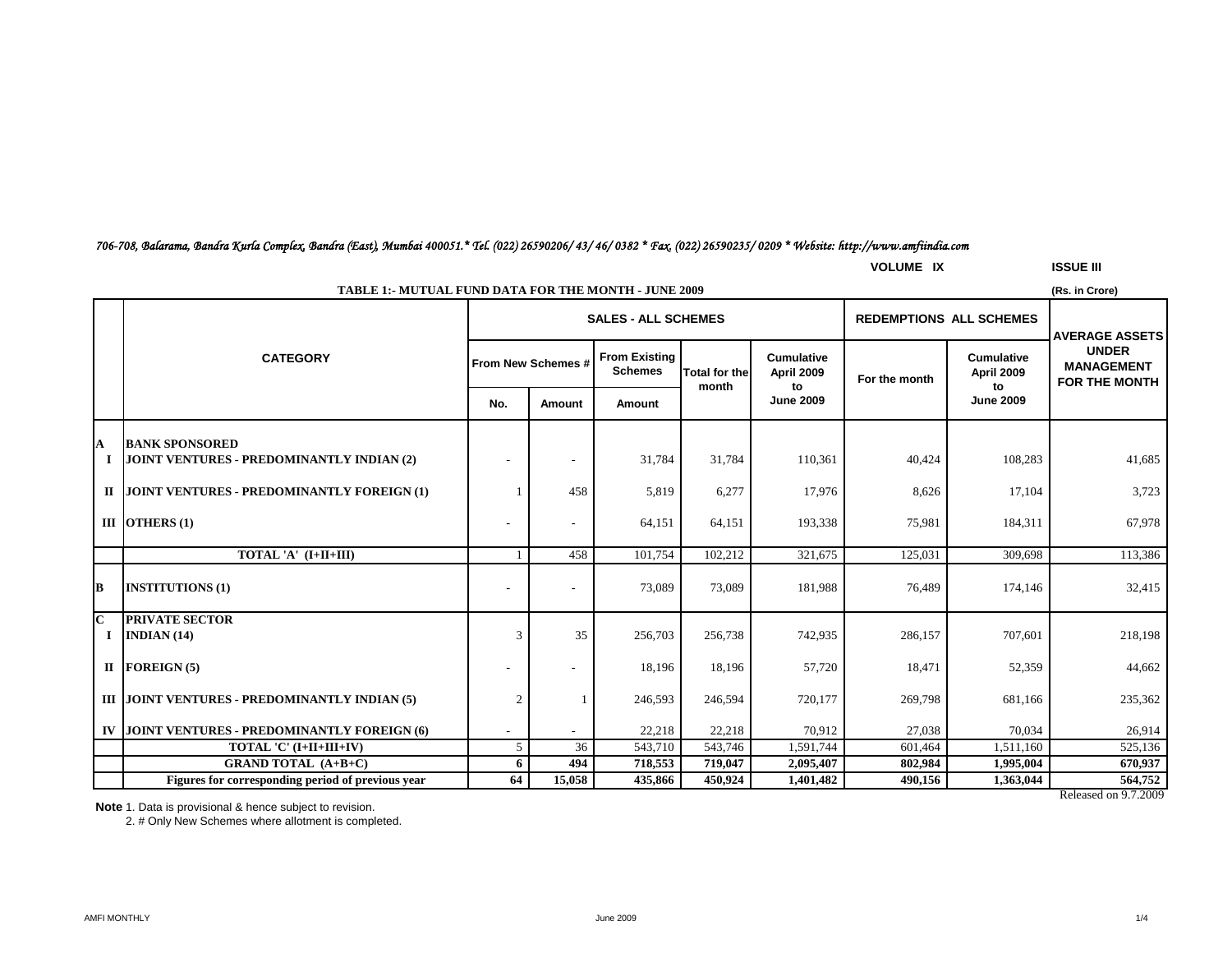### *706-708, Balarama, Bandra Kurla Complex, Bandra (East), Mumbai 400051.\* Tel. (022) 26590206/ 43/ 46/ 0382 \* Fax. (022) 26590235/ 0209 \* Website: http://www.amfiindia.com*

|              |                                                      |                          |                          |                                        |                        |                                       | <b>VOLUME IX</b>               |                                 | <b>ISSUE III</b>                                          |
|--------------|------------------------------------------------------|--------------------------|--------------------------|----------------------------------------|------------------------|---------------------------------------|--------------------------------|---------------------------------|-----------------------------------------------------------|
|              | TABLE 1:- MUTUAL FUND DATA FOR THE MONTH - JUNE 2009 |                          |                          |                                        |                        |                                       |                                |                                 | (Rs. in Crore)                                            |
|              |                                                      |                          |                          | <b>SALES - ALL SCHEMES</b>             |                        |                                       | <b>REDEMPTIONS ALL SCHEMES</b> |                                 | <b>AVERAGE ASSETS</b>                                     |
|              | <b>CATEGORY</b>                                      | From New Schemes #       |                          | <b>From Existing</b><br><b>Schemes</b> | Total for the<br>month | <b>Cumulative</b><br>April 2009<br>to | For the month                  | <b>Cumulative</b><br>April 2009 | <b>UNDER</b><br><b>MANAGEMENT</b><br><b>FOR THE MONTH</b> |
|              |                                                      | No.                      | Amount                   | Amount                                 |                        | <b>June 2009</b>                      |                                | to<br><b>June 2009</b>          |                                                           |
| A            | <b>BANK SPONSORED</b>                                |                          |                          |                                        |                        |                                       |                                |                                 |                                                           |
|              | JOINT VENTURES - PREDOMINANTLY INDIAN (2)            |                          | $\overline{\phantom{a}}$ | 31,784                                 | 31,784                 | 110,361                               | 40,424                         | 108,283                         | 41,685                                                    |
| $\Pi$        | JOINT VENTURES - PREDOMINANTLY FOREIGN (1)           |                          | 458                      | 5,819                                  | 6,277                  | 17,976                                | 8,626                          | 17,104                          | 3,723                                                     |
|              | III OTHERS $(1)$                                     | $\overline{a}$           | $\overline{\phantom{a}}$ | 64,151                                 | 64,151                 | 193,338                               | 75,981                         | 184,311                         | 67,978                                                    |
|              | TOTAL 'A' (I+II+III)                                 |                          | 458                      | 101,754                                | 102,212                | 321,675                               | 125,031                        | 309,698                         | 113,386                                                   |
| lВ           | <b>INSTITUTIONS (1)</b>                              |                          | $\overline{\phantom{a}}$ | 73,089                                 | 73,089                 | 181,988                               | 76,489                         | 174,146                         | 32,415                                                    |
| $\mathbf C$  | <b>PRIVATE SECTOR</b>                                |                          |                          |                                        |                        |                                       |                                |                                 |                                                           |
| $\bf{I}$     | INDIAN $(14)$                                        | 3                        | 35                       | 256,703                                | 256,738                | 742,935                               | 286,157                        | 707,601                         | 218,198                                                   |
| $\mathbf{I}$ | <b>FOREIGN (5)</b>                                   | $\overline{\phantom{a}}$ | $\overline{a}$           | 18,196                                 | 18,196                 | 57,720                                | 18,471                         | 52,359                          | 44,662                                                    |
|              | III JOINT VENTURES - PREDOMINANTLY INDIAN (5)        | $\overline{c}$           |                          | 246,593                                | 246,594                | 720,177                               | 269,798                        | 681,166                         | 235,362                                                   |
| IV           | JOINT VENTURES - PREDOMINANTLY FOREIGN (6)           |                          |                          | 22,218                                 | 22,218                 | 70,912                                | 27,038                         | 70,034                          | 26,914                                                    |
|              | TOTAL 'C' (I+II+III+IV)                              | 5 <sup>5</sup>           | 36                       | 543,710                                | 543,746                | 1,591,744                             | 601,464                        | 1,511,160                       | 525,136                                                   |
|              | <b>GRAND TOTAL (A+B+C)</b>                           | 6                        | 494                      | 718,553                                | 719,047                | 2,095,407                             | 802,984                        | 1,995,004                       | 670,937                                                   |
|              | Figures for corresponding period of previous year    | 64                       | 15,058                   | 435,866                                | 450.924                | 1,401,482                             | 490.156                        | 1,363,044                       | 564,752                                                   |

**Note** 1. Data is provisional & hence subject to revision.

2. # Only New Schemes where allotment is completed.

Released on 9.7.2009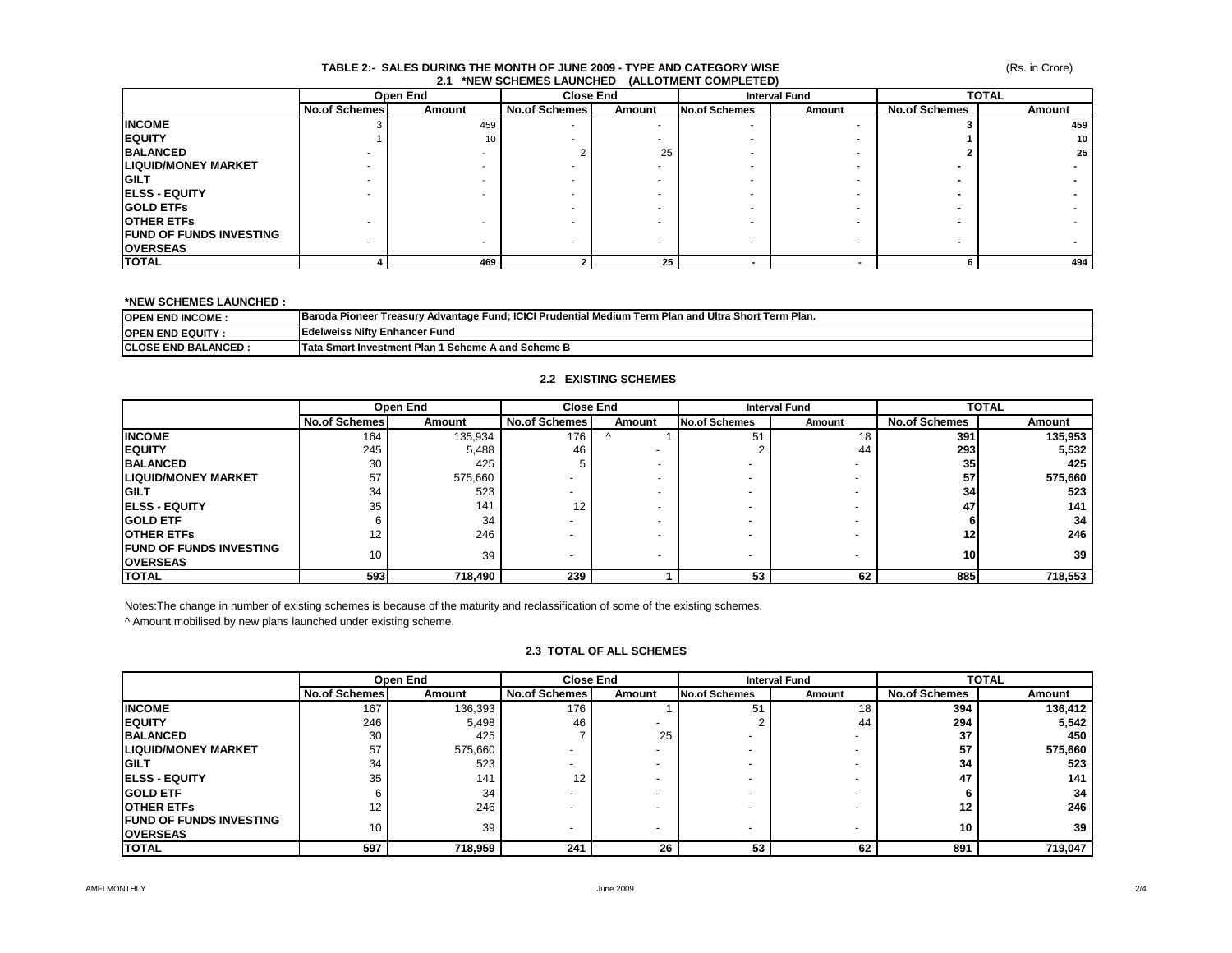#### **TABLE 2:- SALES DURING THE MONTH OF JUNE 2009 - TYPE AND CATEGORY WISE 2.1 \*NEW SCHEMES LAUNCHED (ALLOTMENT COMPLETED)**

|                                 | Open End             |        | <b>Close End</b>     |                 | <b>Interval Fund</b>     |        | <b>TOTAL</b>         |        |
|---------------------------------|----------------------|--------|----------------------|-----------------|--------------------------|--------|----------------------|--------|
|                                 | <b>No.of Schemes</b> | Amount | <b>No.of Schemes</b> | Amount          | <b>No.of Schemes</b>     | Amount | <b>No.of Schemes</b> | Amount |
| <b>INCOME</b>                   |                      | 459    |                      |                 |                          |        |                      | 459    |
| <b>IEQUITY</b>                  |                      | 10     |                      |                 |                          |        |                      | 10     |
| <b>BALANCED</b>                 |                      |        |                      | 25              |                          |        |                      | 25     |
| <b>LIQUID/MONEY MARKET</b>      |                      |        |                      |                 |                          |        |                      |        |
| <b>IGILT</b>                    |                      |        |                      | <b>.</b>        |                          |        |                      |        |
| <b>IELSS - EQUITY</b>           |                      |        |                      |                 |                          |        |                      |        |
| <b>IGOLD ETFS</b>               |                      |        |                      |                 |                          |        |                      |        |
| <b>OTHER ETFS</b>               |                      |        |                      |                 |                          |        |                      |        |
| <b>IFUND OF FUNDS INVESTING</b> |                      |        |                      |                 | $\overline{\phantom{a}}$ |        |                      |        |
| <b>OVERSEAS</b>                 |                      |        |                      |                 |                          |        |                      |        |
| <b>TOTAL</b>                    |                      | 469    |                      | 25 <sub>1</sub> |                          |        |                      | 494    |

### **\*NEW SCHEMES LAUNCHED :**

| <b>IOPEN END INCOME:</b>    | r Treasurv Advantage Fund: ICICI Prudential Medium Term Plan and Ultra Short Term Plan.<br><b>Baroda Pioneer ™</b> |  |  |  |  |
|-----------------------------|--------------------------------------------------------------------------------------------------------------------|--|--|--|--|
| <b>IOPEN END EQUITY:</b>    | <b>IEdelweiss Nifty Enhancer Fund</b>                                                                              |  |  |  |  |
| <b>ICLOSE END BALANCED:</b> | <b>Tata Smart Investment Plan 1 Scheme A and Scheme B</b>                                                          |  |  |  |  |

### **2.2 EXISTING SCHEMES**

|                                 |                      | Open End |                      | <b>Close End</b><br><b>Interval Fund</b> |                          |        | <b>TOTAL</b>         |         |
|---------------------------------|----------------------|----------|----------------------|------------------------------------------|--------------------------|--------|----------------------|---------|
|                                 | <b>No.of Schemes</b> | Amount   | <b>No.of Schemes</b> | Amount                                   | <b>No.of Schemes</b>     | Amount | <b>No.of Schemes</b> | Amount  |
| <b>INCOME</b>                   | 164                  | 135,934  | 176                  |                                          | 51                       | 18     | 391                  | 135,953 |
| <b>IEQUITY</b>                  | 245                  | 5,488    | 46                   |                                          |                          | 44     | 293                  | 5,532   |
| <b>BALANCED</b>                 | 30                   | 425      |                      |                                          |                          |        | 35                   | 425     |
| <b>LIQUID/MONEY MARKET</b>      | 57                   | 575,660  |                      |                                          |                          |        | 57                   | 575,660 |
| <b>IGILT</b>                    | 34                   | 523      |                      |                                          |                          |        | 34                   | 523     |
| <b>IELSS - EQUITY</b>           | 35                   | 141      | 12                   |                                          |                          |        | 47                   | 141     |
| <b>GOLD ETF</b>                 |                      | 34       |                      |                                          |                          |        |                      | 34      |
| <b>OTHER ETFS</b>               |                      | 246      |                      |                                          |                          |        |                      | 246     |
| <b>IFUND OF FUNDS INVESTING</b> | 10                   | 39       |                      |                                          |                          |        | <b>10</b>            | 39      |
| <b>OVERSEAS</b>                 |                      |          |                      |                                          | $\overline{\phantom{0}}$ |        |                      |         |
| <b>TOTAL</b>                    | 593                  | 718,490  | 239                  |                                          | 53                       | 62     | 885                  | 718,553 |

Notes:The change in number of existing schemes is because of the maturity and reclassification of some of the existing schemes.

^ Amount mobilised by new plans launched under existing scheme.

### **2.3 TOTAL OF ALL SCHEMES**

|                                 | Open End             |         | <b>Close End</b>     |                          | <b>Interval Fund</b>     |        | <b>TOTAL</b>         |         |
|---------------------------------|----------------------|---------|----------------------|--------------------------|--------------------------|--------|----------------------|---------|
|                                 | <b>No.of Schemes</b> | Amount  | <b>No.of Schemes</b> | Amount                   | <b>No.of Schemes</b>     | Amount | <b>No.of Schemes</b> | Amount  |
| <b>INCOME</b>                   | 167                  | 136,393 | 176                  |                          | 51                       | 18     | 394                  | 136,412 |
| <b>IEQUITY</b>                  | 246                  | 5,498   | 46                   |                          |                          | 44     | 294                  | 5,542   |
| <b>BALANCED</b>                 | 30                   | 425     |                      | 25                       |                          |        | 37                   | 450     |
| <b>ILIQUID/MONEY MARKET</b>     | 57                   | 575,660 |                      |                          | $\overline{\phantom{0}}$ |        | 57                   | 575,660 |
| <b>IGILT</b>                    | 34                   | 523     |                      |                          | $\overline{\phantom{0}}$ |        | 34                   | 523     |
| <b>IELSS - EQUITY</b>           | 35                   | 141     | 12                   |                          | $\overline{\phantom{0}}$ |        | 47                   | 141     |
| <b>IGOLD ETF</b>                |                      | 34      |                      | $\overline{\phantom{0}}$ | $\overline{\phantom{0}}$ |        |                      | 34      |
| <b>OTHER ETFS</b>               | 12                   | 246     |                      |                          |                          |        | 12                   | 246     |
| <b>IFUND OF FUNDS INVESTING</b> | 10 <sup>°</sup>      | 39      |                      |                          |                          |        | 10                   | 39      |
| <b>OVERSEAS</b>                 |                      |         |                      | $\overline{\phantom{0}}$ | $\overline{\phantom{0}}$ |        |                      |         |
| <b>TOTAL</b>                    | 597                  | 718,959 | 241                  | 26                       | 53                       | 62     | 891                  | 719,047 |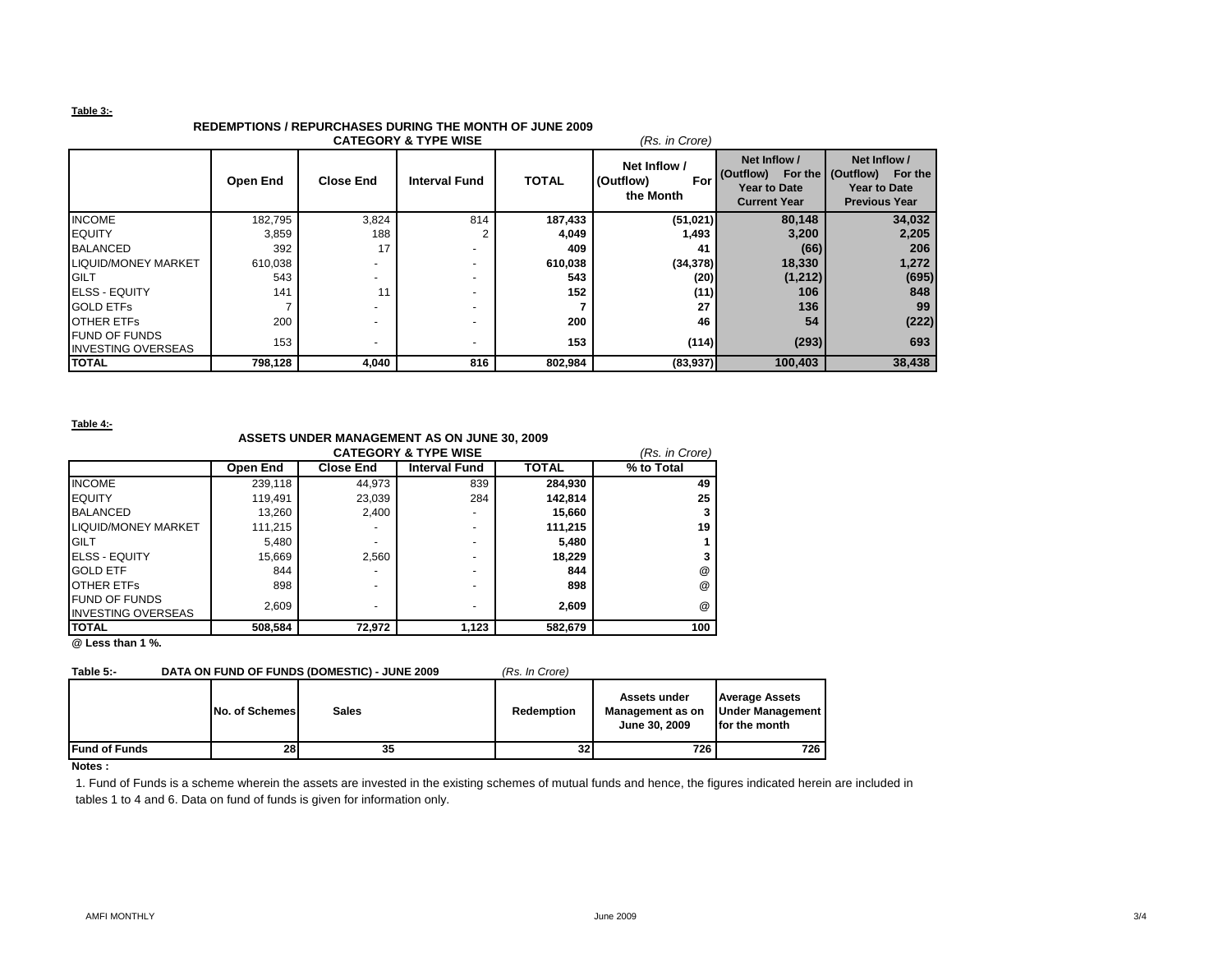### **Table 3:-**

# **REDEMPTIONS / REPURCHASES DURING THE MONTH OF JUNE 2009**

| <b>CATEGORY &amp; TYPE WISE</b><br>(Rs. in Crore) |          |                          |                      |              |                                               |                                                                         |                                                                                               |  |  |
|---------------------------------------------------|----------|--------------------------|----------------------|--------------|-----------------------------------------------|-------------------------------------------------------------------------|-----------------------------------------------------------------------------------------------|--|--|
|                                                   | Open End | <b>Close End</b>         | <b>Interval Fund</b> | <b>TOTAL</b> | Net Inflow /<br>(Outflow)<br>For<br>the Month | Net Inflow /<br>(Outflow)<br><b>Year to Date</b><br><b>Current Year</b> | Net Inflow /<br>For the I (Outflow)<br>For the<br><b>Year to Date</b><br><b>Previous Year</b> |  |  |
| <b>INCOME</b>                                     | 182,795  | 3,824                    | 814                  | 187,433      | (51, 021)                                     | 80,148                                                                  | 34,032                                                                                        |  |  |
| <b>IEQUITY</b>                                    | 3,859    | 188                      |                      | 4,049        | 1,493                                         | 3,200                                                                   | 2,205                                                                                         |  |  |
| <b>BALANCED</b>                                   | 392      | 17                       |                      | 409          | 41                                            | (66)                                                                    | 206                                                                                           |  |  |
| <b>LIQUID/MONEY MARKET</b>                        | 610,038  |                          |                      | 610,038      | (34, 378)                                     | 18,330                                                                  | 1,272                                                                                         |  |  |
| <b>IGILT</b>                                      | 543      |                          |                      | 543          | (20)                                          | (1, 212)                                                                | (695)                                                                                         |  |  |
| <b>IELSS - EQUITY</b>                             | 141      | 11                       |                      | 152          | (11)                                          | 106                                                                     | 848                                                                                           |  |  |
| <b>GOLD ETFS</b>                                  |          |                          |                      |              | 27                                            | 136                                                                     | 99                                                                                            |  |  |
| <b>OTHER ETFS</b>                                 | 200      |                          |                      | 200          | 46                                            | 54                                                                      | (222)                                                                                         |  |  |
| <b>FUND OF FUNDS</b><br><b>INVESTING OVERSEAS</b> | 153      | $\overline{\phantom{a}}$ |                      | 153          | (114)                                         | (293)                                                                   | 693                                                                                           |  |  |
| <b>TOTAL</b>                                      | 798,128  | 4,040                    | 816                  | 802,984      | (83,937)                                      | 100,403                                                                 | 38,438                                                                                        |  |  |

**Table 4:-**

## **ASSETS UNDER MANAGEMENT AS ON JUNE 30, 2009**

|                            | (Rs. in Crore) |                  |                      |              |                      |
|----------------------------|----------------|------------------|----------------------|--------------|----------------------|
|                            | Open End       | <b>Close End</b> | <b>Interval Fund</b> | <b>TOTAL</b> | % to Total           |
| <b>INCOME</b>              | 239,118        | 44.973           | 839                  | 284,930      | 49                   |
| <b>EQUITY</b>              | 119.491        | 23.039           | 284                  | 142.814      | 25                   |
| <b>BALANCED</b>            | 13,260         | 2.400            | ٠                    | 15.660       |                      |
| <b>LIQUID/MONEY MARKET</b> | 111.215        |                  | ۰                    | 111,215      | 19                   |
| <b>GILT</b>                | 5,480          |                  | ۰                    | 5,480        |                      |
| <b>ELSS - EQUITY</b>       | 15,669         | 2.560            | ۰                    | 18,229       |                      |
| <b>GOLD ETF</b>            | 844            |                  | ۰                    | 844          | @                    |
| <b>OTHER ETFS</b>          | 898            | -                | ۰                    | 898          | @                    |
| <b>FUND OF FUNDS</b>       | 2.609          |                  | ۰                    | 2.609        | $^{\textregistered}$ |
| <b>INVESTING OVERSEAS</b>  |                |                  |                      |              |                      |
| <b>ITOTAL</b>              | 508,584        | 72,972           | 1,123                | 582.679      | 100                  |

**@ Less than 1 %.**

# **Table 5:- DATA ON FUND OF FUNDS (DOMESTIC) - JUNE 2009** *(Rs. In Crore)*

|                      | No. of Schemes | <b>Sales</b> | <b>Redemption</b> | Assets under<br>Management as on<br>June 30, 2009 | <b>Average Assets</b><br>Under Management<br>for the month |
|----------------------|----------------|--------------|-------------------|---------------------------------------------------|------------------------------------------------------------|
| <b>Fund of Funds</b> | 28             | 35           | 32                | 726                                               | 726                                                        |

### **Notes :**

1. Fund of Funds is a scheme wherein the assets are invested in the existing schemes of mutual funds and hence, the figures indicated herein are included in tables 1 to 4 and 6. Data on fund of funds is given for information only.